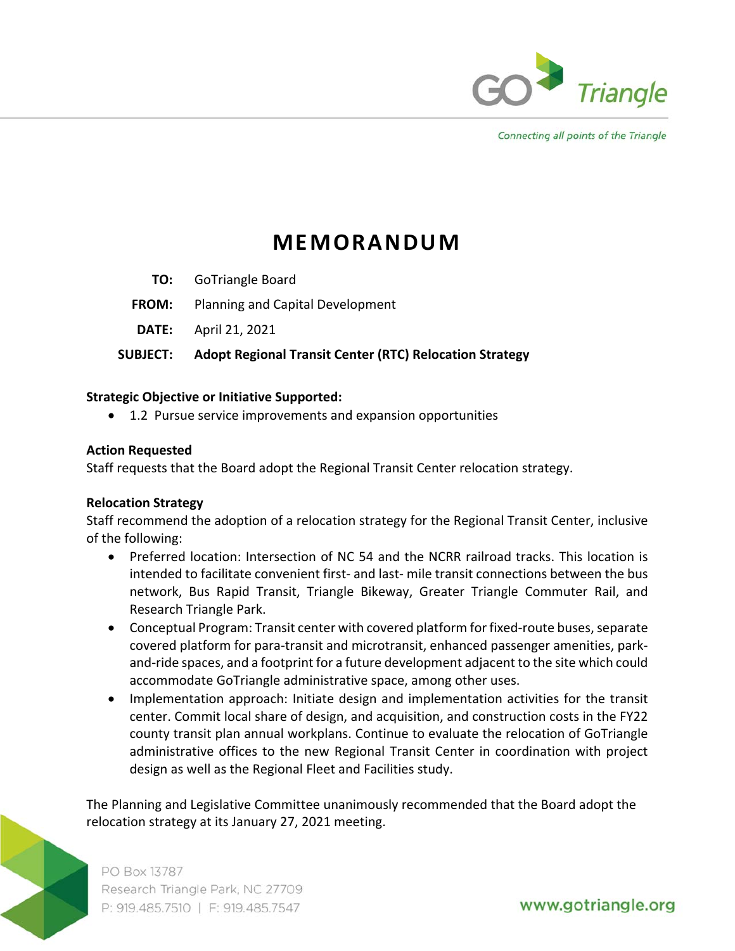

Connecting all points of the Triangle

# **MEMORANDUM**

- **TO:**  GoTriangle Board
- **FROM:** Planning and Capital Development
- **DATE:**  April 21, 2021

## **SUBJECT: Adopt Regional Transit Center (RTC) Relocation Strategy**

#### **Strategic Objective or Initiative Supported:**

1.2 Pursue service improvements and expansion opportunities

## **Action Requested**

Staff requests that the Board adopt the Regional Transit Center relocation strategy.

#### **Relocation Strategy**

Staff recommend the adoption of a relocation strategy for the Regional Transit Center, inclusive of the following:

- Preferred location: Intersection of NC 54 and the NCRR railroad tracks. This location is intended to facilitate convenient first- and last- mile transit connections between the bus network, Bus Rapid Transit, Triangle Bikeway, Greater Triangle Commuter Rail, and Research Triangle Park.
- Conceptual Program: Transit center with covered platform for fixed-route buses, separate covered platform for para‐transit and microtransit, enhanced passenger amenities, park‐ and‐ride spaces, and a footprint for a future development adjacent to the site which could accommodate GoTriangle administrative space, among other uses.
- Implementation approach: Initiate design and implementation activities for the transit center. Commit local share of design, and acquisition, and construction costs in the FY22 county transit plan annual workplans. Continue to evaluate the relocation of GoTriangle administrative offices to the new Regional Transit Center in coordination with project design as well as the Regional Fleet and Facilities study.

The Planning and Legislative Committee unanimously recommended that the Board adopt the relocation strategy at its January 27, 2021 meeting.

PO Box 13787 Research Triangle Park, NC 27709 P: 919.485.7510 | F: 919.485.7547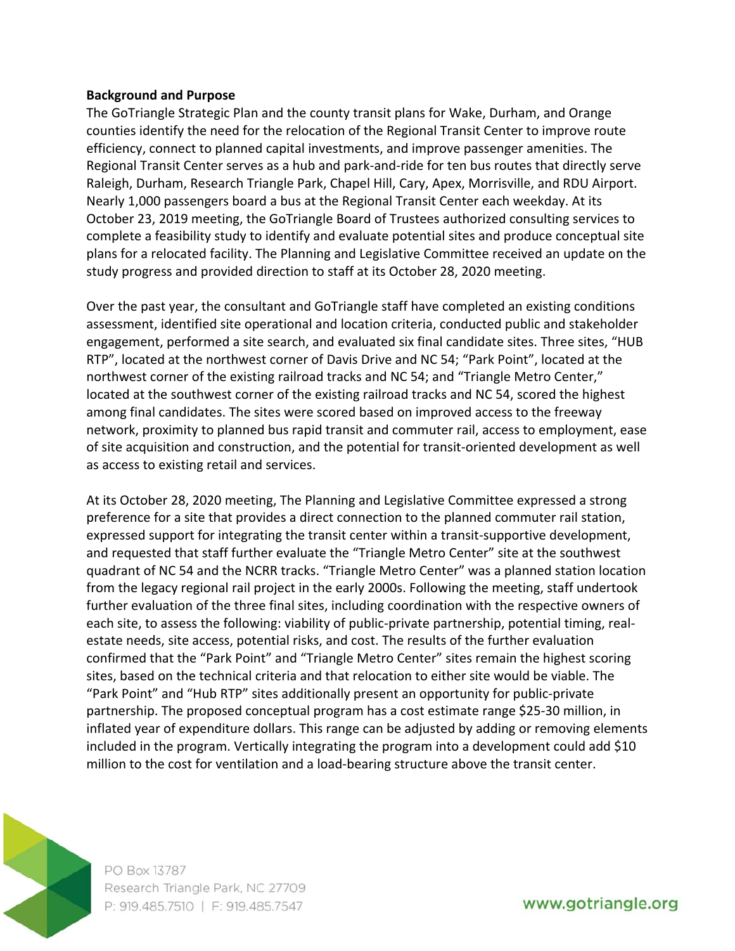#### **Background and Purpose**

The GoTriangle Strategic Plan and the county transit plans for Wake, Durham, and Orange counties identify the need for the relocation of the Regional Transit Center to improve route efficiency, connect to planned capital investments, and improve passenger amenities. The Regional Transit Center serves as a hub and park‐and‐ride for ten bus routes that directly serve Raleigh, Durham, Research Triangle Park, Chapel Hill, Cary, Apex, Morrisville, and RDU Airport. Nearly 1,000 passengers board a bus at the Regional Transit Center each weekday. At its October 23, 2019 meeting, the GoTriangle Board of Trustees authorized consulting services to complete a feasibility study to identify and evaluate potential sites and produce conceptual site plans for a relocated facility. The Planning and Legislative Committee received an update on the study progress and provided direction to staff at its October 28, 2020 meeting.

Over the past year, the consultant and GoTriangle staff have completed an existing conditions assessment, identified site operational and location criteria, conducted public and stakeholder engagement, performed a site search, and evaluated six final candidate sites. Three sites, "HUB RTP", located at the northwest corner of Davis Drive and NC 54; "Park Point", located at the northwest corner of the existing railroad tracks and NC 54; and "Triangle Metro Center," located at the southwest corner of the existing railroad tracks and NC 54, scored the highest among final candidates. The sites were scored based on improved access to the freeway network, proximity to planned bus rapid transit and commuter rail, access to employment, ease of site acquisition and construction, and the potential for transit‐oriented development as well as access to existing retail and services.

At its October 28, 2020 meeting, The Planning and Legislative Committee expressed a strong preference for a site that provides a direct connection to the planned commuter rail station, expressed support for integrating the transit center within a transit‐supportive development, and requested that staff further evaluate the "Triangle Metro Center" site at the southwest quadrant of NC 54 and the NCRR tracks. "Triangle Metro Center" was a planned station location from the legacy regional rail project in the early 2000s. Following the meeting, staff undertook further evaluation of the three final sites, including coordination with the respective owners of each site, to assess the following: viability of public-private partnership, potential timing, realestate needs, site access, potential risks, and cost. The results of the further evaluation confirmed that the "Park Point" and "Triangle Metro Center" sites remain the highest scoring sites, based on the technical criteria and that relocation to either site would be viable. The "Park Point" and "Hub RTP" sites additionally present an opportunity for public‐private partnership. The proposed conceptual program has a cost estimate range \$25‐30 million, in inflated year of expenditure dollars. This range can be adjusted by adding or removing elements included in the program. Vertically integrating the program into a development could add \$10 million to the cost for ventilation and a load‐bearing structure above the transit center.



PO Box 13787 Research Triangle Park, NC 27709 P: 919.485.7510 | F: 919.485.7547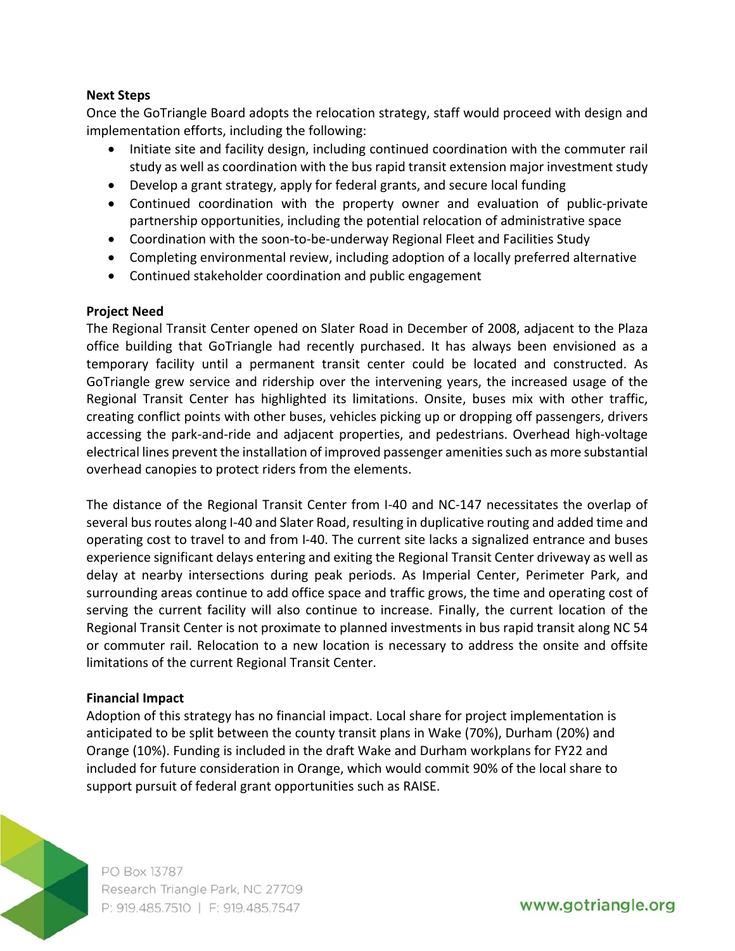#### **Next Steps**

Once the GoTriangle Board adopts the relocation strategy, staff would proceed with design and implementation efforts, including the following:

- Initiate site and facility design, including continued coordination with the commuter rail study as well as coordination with the bus rapid transit extension major investment study
- Develop a grant strategy, apply for federal grants, and secure local funding
- Continued coordination with the property owner and evaluation of public-private partnership opportunities, including the potential relocation of administrative space
- Coordination with the soon-to-be-underway Regional Fleet and Facilities Study
- Completing environmental review, including adoption of a locally preferred alternative
- Continued stakeholder coordination and public engagement

## **Project Need**

The Regional Transit Center opened on Slater Road in December of 2008, adjacent to the Plaza office building that GoTriangle had recently purchased. It has always been envisioned as a temporary facility until a permanent transit center could be located and constructed. As GoTriangle grew service and ridership over the intervening years, the increased usage of the Regional Transit Center has highlighted its limitations. Onsite, buses mix with other traffic, creating conflict points with other buses, vehicles picking up or dropping off passengers, drivers accessing the park‐and‐ride and adjacent properties, and pedestrians. Overhead high‐voltage electrical lines prevent the installation of improved passenger amenities such as more substantial overhead canopies to protect riders from the elements.

The distance of the Regional Transit Center from I-40 and NC-147 necessitates the overlap of several bus routes along I‐40 and Slater Road, resulting in duplicative routing and added time and operating cost to travel to and from I‐40. The current site lacks a signalized entrance and buses experience significant delays entering and exiting the Regional Transit Center driveway as well as delay at nearby intersections during peak periods. As Imperial Center, Perimeter Park, and surrounding areas continue to add office space and traffic grows, the time and operating cost of serving the current facility will also continue to increase. Finally, the current location of the Regional Transit Center is not proximate to planned investments in bus rapid transit along NC 54 or commuter rail. Relocation to a new location is necessary to address the onsite and offsite limitations of the current Regional Transit Center.

## **Financial Impact**

Adoption of this strategy has no financial impact. Local share for project implementation is anticipated to be split between the county transit plans in Wake (70%), Durham (20%) and Orange (10%). Funding is included in the draft Wake and Durham workplans for FY22 and included for future consideration in Orange, which would commit 90% of the local share to support pursuit of federal grant opportunities such as RAISE.



PO Box 13787 Research Triangle Park, NC 27709 P: 919.485.7510 | F: 919.485.7547

www.gotriangle.org